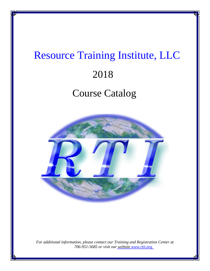# Resource Training Institute, LLC 2018 Course Catalog



*For additional information, please contact our Training and Registration Center at 706-951-5685 or visit our [website](http://www.rtii.org) www.rtii.org*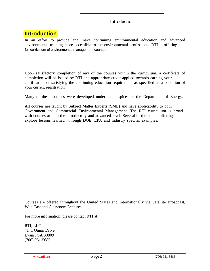## **Introduction**

In an effort to provide and make continuing environmental education and advanced environmental training more accessible to the environmental professional RTI is offering a full curriculum of environmental management courses

Upon satisfactory completion of any of the courses within the curriculum, a certificate of completion will be issued by RTI and appropriate credit applied towards earning your certification or satisfying the continuing education requirement as specified as a condition of your current registration.

Many of these courses were developed under the auspices of the Department of Energy.

All courses are taught by Subject Matter Experts (SME) and have applicability to both Government and Commercial Environmental Management. The RTI curriculum is broad with courses at both the introductory and advanced level. Several of the course offerings explore lessons learned through DOE, EPA and industry specific examples.

Courses are offered throughout the United States and Internationally via Satellite Broadcast, Web Cast and Classroom Lectures.

For more information, please contact RTI at:

RTI, LLC 4141 Quinn Drive Evans, GA 30809 (706) 951-5685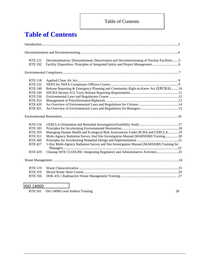## Table of Contents

## **Table of Contents**

| <b>RTII</b> 121<br><b>RTII 192</b>                                       | Decontamination, Dismantlement, Deactivation and Decommissioning of Nuclear Facilities5  |  |
|--------------------------------------------------------------------------|------------------------------------------------------------------------------------------|--|
|                                                                          |                                                                                          |  |
| <b>RTII 118</b><br><b>RTII 122</b><br><b>RTII 148</b>                    | Release Reporting & Emergency Planning and Community Right-to-Know Act (EPCRA) 10        |  |
| <b>RTII 149</b>                                                          |                                                                                          |  |
| <b>RTII 256</b><br><b>RTII 353</b><br><b>RTII 420</b><br><b>RTII 421</b> |                                                                                          |  |
|                                                                          |                                                                                          |  |
| <b>RTII</b> 116<br><b>RTII 183</b><br><b>RTII 293</b>                    | Managing Human Health and Ecological Risk Assessments Under RCRA and CERCLA19            |  |
| <b>RTII 351</b><br><b>RTII 360</b>                                       | Multi-Agency Radiation Survey And Site Investigation Manual (MARSSIM) Training20         |  |
| <b>RTII 427</b>                                                          | 1-Day Multi-Agency Radiation Survey and Site Investigation Manual (MARSSIM) Training for |  |
| <b>RTII 429</b>                                                          | Cleanup SITE CLOSURE: Integrating Regulatory and Administrative Activities23             |  |
|                                                                          |                                                                                          |  |
| <b>RTII 119</b><br><b>RTII 319</b>                                       |                                                                                          |  |
| <b>RTII 356</b>                                                          |                                                                                          |  |

## ISO 14000

[RTII 501 ISO 14000 Lead Auditor Training 28](#page-27-0)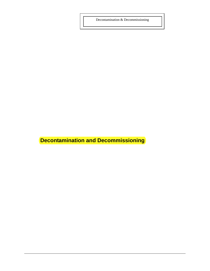<span id="page-3-0"></span>Decontamination & Decommissioning

**Decontamination and Decommissioning**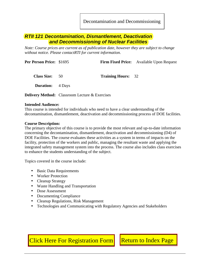Decontamination and Decommissioning

## <span id="page-4-1"></span><span id="page-4-0"></span>*RTII 121 Decontamination, Dismantlement, Deactivation and Decommissioning of Nuclear Facilities*

*Note: Course prices are current as of publication date, however they are subject to change without notice. Please contactRTI for current information.* 

| Per Person Price: \$1695 |      |                           | <b>Firm Fixed Price:</b> Available Upon Request |
|--------------------------|------|---------------------------|-------------------------------------------------|
| <b>Class Size:</b>       | - 50 | <b>Training Hours: 32</b> |                                                 |

 **Duration:** 4 Days

**Delivery Method:** Classroom Lecture & Exercises

#### **Intended Audience:**

This course is intended for individuals who need to have a clear understanding of the decontamination, dismantlement, deactivation and decommissioning process of DOE facilities.

#### **Course Description:**

The primary objective of this course is to provide the most relevant and up-to-date information concerning the decontamination, dismantlement, deactivation and decommissioning (D4) of DOE Facilities. The course evaluates these activities as a system in terms of impacts on the facility, protection of the workers and public, managing the resultant waste and applying the integrated safety management system into the process. The course also includes class exercises to enhance the students understanding of the subject.

Topics covered in the course include:

- Basic Data Requirements
- Worker Protection
- Cleanup Strategy
- Waste Handling and Transportation
- Dose Assessment
- Documenting Compliance
- Cleanup Regulations, Risk Management
- Technologies and Communicating with Regulatory Agencies and Stakeholders

[Click Here For Registration Form](http://www.rtii.org/rti_REGFORM01.pdf) | [Return to Index Page](#page-4-1)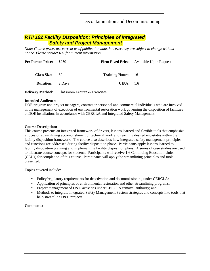Decontamination and Decommissioning

## <span id="page-5-0"></span>*RTII 192 Facility Disposition: Principles of Integrated Safety and Project Management*

*Note: Course prices are current as of publication date, however they are subject to change without notice. Please contact RTI for current information.* 

| <b>Per Person Price:</b> | \$950                                                 |                           | <b>Firm Fixed Price:</b> Available Upon Request |
|--------------------------|-------------------------------------------------------|---------------------------|-------------------------------------------------|
| Class Size: 30           |                                                       | <b>Training Hours:</b> 16 |                                                 |
| <b>Duration:</b> 2 Days  |                                                       | CEUs: 1.6                 |                                                 |
|                          | <b>Delivery Method:</b> Classroom Lecture & Exercises |                           |                                                 |

#### **Intended Audience:**

DOE program and project managers, contractor personnel and commercial individuals who are involved in the management of execution of environmental restoration work governing the disposition of facilities at DOE installations in accordance with CERCLA and Integrated Safety Management.

#### **Course Description:**

This course presents an integrated framework of drivers, lessons learned and flexible tools that emphasize a focus on streamlining accomplishment of technical work and reaching desired end-states within the facility disposition framework. The course also describes how integrated safety management principles and functions are addressed during facility disposition phase. Participants apply lessons learned to facility disposition planning and implementing facility disposition plans. A series of case studies are used to illustrate course concepts for students. Participants will receive 1.6 Continuing Education Units (CEUs) for completion of this course. Participants will apply the streamlining principles and tools presented.

Topics covered include:

- Policy/regulatory requirements for deactivation and decommissioning under CERCLA;
- Application of principles of environmental restoration and other streamlining programs;
- Project management of D&D activities under CERCLA removal authority; and
- Methods to integrate Integrated Safety Management System strategies and concepts into tools that help streamline D&D projects.

#### **Comments:**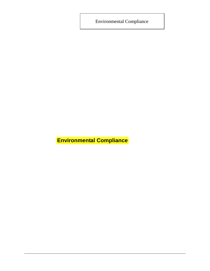<span id="page-6-0"></span>Environmental Compliance

**Environmental Compliance**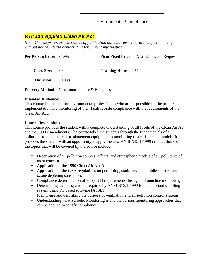## <span id="page-7-0"></span>*RTII 118 Applied Clean Air Act*

*Note: Course prices are current as of publication date, however they are subject to change without notice. Please contact RTII for current information.* 

| <b>Per Person Price: \$1095</b> |                                                       |                           | Firm Fixed Price: Available Upon Request |
|---------------------------------|-------------------------------------------------------|---------------------------|------------------------------------------|
| <b>Class Size:</b> 30           |                                                       | <b>Training Hours: 24</b> |                                          |
| <b>Duration:</b> 3 Days         |                                                       |                           |                                          |
|                                 | <b>Delivery Method:</b> Classroom Lecture & Exercises |                           |                                          |

#### **Intended Audience:**

This course is intended for environmental professionals who are responsible for the proper implementation and monitoring of their facilities/site compliance with the requirements of the Clean Air Act.

#### **Course Description:**

This course provides the student with a complete understanding of all facets of the Clean Air Act and the 1990 Amendments. The course takes the students through the fundamentals of air pollution from the sources to abatement equipment to monitoring to air dispersion models. It provides the student with an opportunity to apply the new ANSI N13.1-1999 criteria. Some of the topics that will be covered by the course include:

- Description of air pollution sources, effects, and atmospheric models of air pollutants of most concern
- Application of the 1990 Clean Air Act Amendments
- Application of the CAA regulations on permitting, stationary and mobile sources, and ozone depleting substances
- Compliance determination of Subpart H requirements through radionuclide monitoring
- Determining sampling criteria required by ANSI N13.1-1999 for a compliant sampling system using PC based software (ASSET)
- Identifying and describing the purpose of ventilation and air pollution control systems
- Understanding what Periodic Monitoring is and the various monitoring approaches that can be applied to satisfy compliance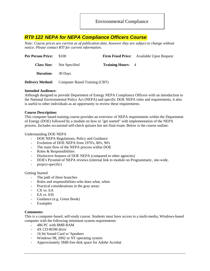## <span id="page-8-0"></span>*RTII 122 NEPA for NEPA Compliance Officers Course*

*Note: Course prices are current as of publication date, however they are subject to change without notice. Please contact RTI for current information.* 

| <b>Per Person Price:</b> | \$100                                                 |                          | <b>Firm Fixed Price:</b> Available Upon Request |
|--------------------------|-------------------------------------------------------|--------------------------|-------------------------------------------------|
|                          | <b>Class Size:</b> Not Specified                      | <b>Training Hours:</b> 4 |                                                 |
| <b>Duration:</b> 30 Days |                                                       |                          |                                                 |
|                          | <b>Delivery Method:</b> Computer Based Training (CBT) |                          |                                                 |

#### **Intended Audience:**

Although designed to provide Department of Energy NEPA Compliance Officers with an introduction to the National Environmental Policy Act (NEPA) and specific DOE NEPA roles and requirements, it also is useful to other individuals as an opportunity to review these requirements.

#### **Course Description:**

This computer based training course provides an overview of NEPA requirements within the Department of Energy (DOE) followed by a module on how to "get started" with implementation of the NEPA process. Includes occasional self-check quizzes but not final exam. Below is the course outline:

#### Understanding DOE NEPA

- DOE NEPA Regulations, Policy and Guidance
- Evolution of DOE NEPA from 1970's, 80's, 90's
- The main flow of the NEPA process within DOE
- Roles & Responsibilities
- Distinctive features of DOE NEPA (compared to other agencies)
- DOE's Pyramid of NEPA reviews (internal link to module on Programmatic, site-wide,
- project-specific)

#### Getting Started

- The path of three branches
- Roles and responsibilities-who does what, when
- Practical considerations in the gray areas:
- CX vs. EA
- EA vs. EIS
- Guidance (e.g. Green Book)
- Examples

#### **Comments:**

This is a computer-based, self-study course. Students must have access to a multi-media, Windows-based computer with the following minimum system requirements:

- 486 PC with 8MB RAM
- 4X CD-ROM drive
- 16 bit Sound Card w/ Speakers
- Windows 98, 2002 or NT operating system
- Approximately 5MB free disk space for Adobe Acrobat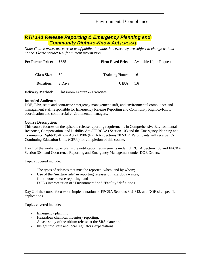Environmental Compliance

## <span id="page-9-0"></span>*RTII 148 Release Reporting & Emergency Planning and Community Right-to-Know Act (EPCRA)*

*Note: Course prices are current as of publication date, however they are subject to change without notice. Please contact RTI for current information.* 

| <b>Per Person Price:</b> | \$835                         |                           | <b>Firm Fixed Price:</b> Available Upon Request |
|--------------------------|-------------------------------|---------------------------|-------------------------------------------------|
| Class Size: 50           |                               | <b>Training Hours:</b> 16 |                                                 |
| <b>Duration:</b> 2 Days  |                               | CEUs: 1.6                 |                                                 |
| <b>Deliverv Method:</b>  | Classroom Lecture & Exercises |                           |                                                 |

#### **Intended Audience:**

DOE, EPA, state and contractor emergency management staff, and environmental compliance and management staff responsible for Emergency Release Reporting and Community Right-to-Know coordination and commercial environmental managers.

#### **Course Description:**

This course focuses on the episodic release reporting requirements in Comprehensive Environmental Response, Compensation, and Liability Act (CERCLA) Section 103 and the Emergency Planning and Community Right-To-Know Act of 1986 (EPCRA) Sections 302-312. Participants will receive 1.6 Continuing Education Units (CEUs) for completion of this course.

Day 1 of the workshop explains the notification requirements under CERCLA Section 103 and EPCRA Section 304, and Occurrence Reporting and Emergency Management under DOE Orders.

Topics covered include:

- The types of releases that must be reported, when, and by whom;
- Use of the "mixture rule" in reporting releases of hazardous wastes;
- Continuous release reporting; and
- DOE's interpretation of "Environment" and "Facility" definitions.

Day 2 of the course focuses on implementation of EPCRA Sections 302-312, and DOE site-specific applications.

Topics covered include:

- Emergency planning;
- Hazardous chemical inventory reporting;
- A case study of the tritium release at the SRS plant; and
- Insight into state and local regulators' expectations.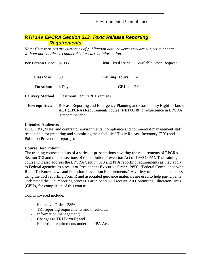Environmental Compliance

## <span id="page-10-0"></span>*RTII 149 EPCRA Section 313, Toxic Release Reporting Requirements*

*Note: Course prices are current as of publication date, however they are subject to change without notice. Please contact RTI for current information.* 

| Per Person Price: \$1095 |                                                       |                           | <b>Firm Fixed Price:</b> Available Upon Request                                                                                          |
|--------------------------|-------------------------------------------------------|---------------------------|------------------------------------------------------------------------------------------------------------------------------------------|
| <b>Class Size:</b>       | 50                                                    | <b>Training Hours:</b> 24 |                                                                                                                                          |
| <b>Duration:</b>         | 3 Days                                                | CEUs: 2.0                 |                                                                                                                                          |
|                          | <b>Delivery Method:</b> Classroom Lecture & Exercises |                           |                                                                                                                                          |
| <b>Prerequisites:</b>    | is recommended.                                       |                           | Release Reporting and Emergency Planning and Community Right-to-know<br>ACT (EPCRA) Requirements course (NETO148) or experience in EPCRA |

#### **Intended Audience:**

DOE, EPA, State, and contractor environmental compliance and commercial management staff responsible for preparing and submitting their facilities' Toxic Release Inventory (TRI) and Pollution Prevention report(s).

#### **Course Description:**

The training course consists of a series of presentations covering the requirements of EPCRA Section 313 and related sections of the Pollution Prevention Act of 1990 (PPA). The training course will also address the EPCRA Section 313 and PPA reporting requirements as they apply to Federal agencies as a result of Presidential Executive Order 12856, "Federal Compliance with Right-To-Know Laws and Pollution Prevention Requirements." A variety of hands-on exercises using the TRI reporting Form R and associated guidance materials are used to help participants understand the TRI reporting process. Participants will receive 2.0 Continuing Education Units (CEUs) for completion of this course.

Topics covered include:

- Executive Order 12856;
- TRI reporting requirements and thresholds;
- Information management;
- Changes to TRI Form R; and
- Reporting requirements under the PPA Act.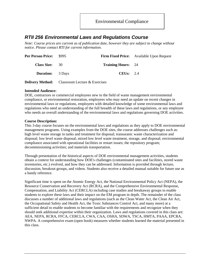## <span id="page-11-0"></span>*RTII 256 Environmental Laws and Regulations Course*

*Note: Course prices are current as of publication date, however they are subject to change without notice. Please contact RTI for current information.* 

| <b>Per Person Price:</b> | \$995 |                           | <b>Firm Fixed Price:</b> Available Upon Request |
|--------------------------|-------|---------------------------|-------------------------------------------------|
| Class Size: 30           |       | <b>Training Hours:</b> 24 |                                                 |
| <b>Duration:</b> 3 Days  |       | CEUs: $2.4$               |                                                 |

**Delivery Method:** Classroom Lecture & Exercises

#### **Intended Audience:**

DOE, contractors or commercial employees new to the field of waste management environmental compliance, or environmental restoration, employees who may need an update on recent changes in environmental laws or regulations, employees with detailed knowledge of some environmental laws and regulations who need an understanding of the full breadth of these laws and regulations, or any employee who needs an overall understanding of the environmental laws and regulations governing DOE activities.

#### **Course Description:**

This 3-day course focuses on the environmental laws and regulations as they apply to DOE environmental management programs. Using examples from the DOE sites, the course addresses challenges such as: high level waste storage in tanks and treatment for disposal; transuranic waste characterization and disposal; low level waste disposal; mixed low level waste treatment, storage, and disposal; environmental compliance associated with operational facilities or restart issues; the repository program; decommissioning activities; and materials transportation.

Through presentation of the historical aspects of DOE environmental management activities, students obtain a context for understanding how DOE's challenges (contaminated sites and facilities, stored waste inventories, etc.) evolved, and how they can be addressed. Information is provided through lecture, discussion, breakout groups, and videos. Students also receive a detailed manual suitable for future use as a handy reference.

Significant time is spent on the Atomic Energy Act, the National Environmental Policy Act (NEPA), the Resource Conservation and Recovery Act (RCRA), and the Comprehensive Environmental Response, Compensation, and Liability Act (CERCLA) including case studies and breakaway groups to enable students to explore these laws and their impact on the EM program in depth. The remainder of the class discusses a number of additional laws and regulations (such as the Clean Water Act, the Clean Air Act, the Occupational Safety and Health Act, the Toxic Substances Control Act, and many more) at a sufficient detail to enable students to become familiar with the requirements and recognize when they should seek additional expertise within their organization. Laws and regulations covered in this class are: AEA, NEPA, RCRA, FFCA, CERCLA, CWA, CAA, OSHA, SDWA, TSCA, HMTA, PAAA, EPCRA, NWPA. A comprehensive exam (open book) measures whether students learned the material presented in this class.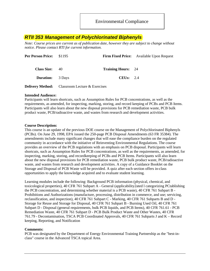## <span id="page-12-0"></span>*RTII 353 Management of Polychlorinated Biphenyls*

*Note: Course prices are current as of publication date, however they are subject to change without notice. Please contact RTI for current information.* 

| <b>Per Person Price:</b> | \$1195 |                           | <b>Firm Fixed Price:</b> Available Upon Request |
|--------------------------|--------|---------------------------|-------------------------------------------------|
| <b>Class Size:</b>       | 40     | <b>Training Hours:</b> 24 |                                                 |
| <b>Duration:</b> 3 Days  |        | CEUs: $2.4$               |                                                 |
|                          |        |                           |                                                 |

**Delivery Method:** Classroom Lecture & Exercises

#### **Intended Audience:**

Participants will learn shortcuts, such as Assumption Rules for PCB concentrations, as well as the requirements, as amended, for inspecting, marking, storing, and record keeping of PCBs and PCB Items. Participants will also learn about the new disposal provisions for PCB remediation waste, PCB bulk product waste, PCB/radioactive waste, and wastes from research and development activities.

#### **Course Description:**

This course is an update of the previous DOE course on the Management of Polychlorinated Biphenyls (PCBs). On June 29, 1998, EPA issued the 250-page PCB Disposal Amendments (63 FR 35384). The amendments include many significant changes that will ease the compliance burden on the regulated community in accordance with the initiative of Reinventing Environmental Regulations. The course provides an overview of the PCB regulations with an emphasis on PCB disposal. Participants will learn shortcuts, such as Assumption Rules for PCB concentrations, as well as the requirements, as amended, for inspecting, marking, storing, and recordkeeping of PCBs and PCB Items. Participants will also learn about the new disposal provisions for PCB remediation waste, PCB bulk product waste, PCB/radioactive waste, and wastes from research and development activities. A copy of a Guidance Booklet on the Storage and Disposal of PCB Waste will be provided. A quiz after each section offers in-class opportunities to apply the knowledge acquired and to evaluate student learning.

Learning modules include the following: Background PCB information (physical, chemical, and toxicological properties), 40 CFR 761 Subpart A - General (applicability2ated l categorizing PCtablishing the PCB concentration, and determining whether material is a PCB waste), 40 CFR 761 Subpart B - Prohibitions and Authorizations (manufacture, processing, distribution in commerce, and use; servicing, reclassification, and inspection), 40 CFR 761 Subpart C - Marking, 40 CFR 761 Subparts B and D - Storage for Reuse and Storage for Disposal, 40 CFR 761 Subpart B - Burning Used Oil, 40 CFR 761 Subpart D - Disposal (general requirements, bulk PCB liquids, and PCB Items), 40 CFR 761.61 - PCB Remediation Waste, 40 CFR 761 Subpart D - PCB Bulk Product Waste and Other Wastes, 40 CFR 761.79 - Decontamination, TSCA PCB Coordinated Approvals, 40 CFR 761 Subparts J and K – Record keeping, Reporting, and Notification

#### **Comments:**

PCB was designated by the Department of Energy Environmental Training Partnership as the "best-inclass" course in the Advanced TSCA topical Area.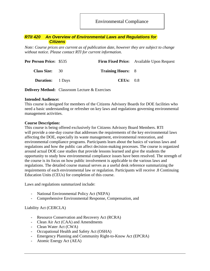Environmental Compliance

#### <span id="page-13-0"></span>*RTII 420 An Overview of Environmental Laws and Regulations for Citizens*

*Note: Course prices are current as of publication date, however they are subject to change without notice. Please contact RTI for current information.* 

| <b>Per Person Price: \$535</b> |                          | <b>Firm Fixed Price:</b> Available Upon Request |
|--------------------------------|--------------------------|-------------------------------------------------|
| <b>Class Size:</b> 30          | <b>Training Hours: 8</b> |                                                 |
| <b>Duration:</b> 1 Days        | CEUs: $0.8$              |                                                 |

**Delivery Method:** Classroom Lecture & Exercises

#### **Intended Audience:**

This course is designed for members of the Citizens Advisory Boards for DOE facilities who need a basic understanding or refresher on key laws and regulations governing environmental management activities.

#### **Course Description:**

This course is being offered exclusively for Citizens Advisory Board Members. RTI will provide a one-day course that addresses the requirements of the key environmental laws affecting the DOE, especially its waste management, environmental restoration, and environmental compliance programs. Participants learn about the basics of various laws and regulations and how the public can affect decision-making processes. The course is organized around actual DOE case studies that provide lessons learned and give the students the opportunity to study how environmental compliance issues have been resolved. The strength of the course is its focus on how public involvement is applicable to the various laws and regulations. The detailed course manual serves as a useful desk reference summarizing the requirements of each environmental law or regulation. Participants will receive .8 Continuing Education Units (CEUs) for completion of this course.

Laws and regulations summarized include:

- National Environmental Policy Act (NEPA)
- Comprehensive Environmental Response, Compensation, and

#### Liability Act (CERCLA)

- Resource Conservation and Recovery Act (RCRA)
- Clean Air Act (CAA) and Amendments
- Clean Water Act (CWA)
- Occupational Health and Safety Act (OSHA)
- Emergency Planning and Community Right-to-Know Act (EPCRA)
- Atomic Energy Act (AEA)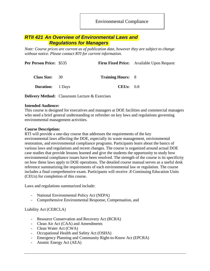Environmental Compliance

## <span id="page-14-0"></span>*RTII 421 An Overview of Environmental Laws and Regulations for Managers*

*Note: Course prices are current as of publication date, however they are subject to change without notice. Please contact RTI for current information.* 

|                                                                                    | <b>Firm Fixed Price:</b> Available Upon Request |
|------------------------------------------------------------------------------------|-------------------------------------------------|
|                                                                                    |                                                 |
|                                                                                    |                                                 |
| <b>Per Person Price: \$535</b><br><b>Class Size:</b> 30<br><b>Duration:</b> 1 Days | <b>Training Hours: 8</b><br>CEUs: 0.8           |

**Delivery Method:** Classroom Lecture & Exercises

#### **Intended Audience:**

This course is designed for executives and managers at DOE facilities and commercial managers who need a brief general understanding or refresher on key laws and regulations governing environmental management activities.

#### **Course Description:**

RTI will provide a one-day course that addresses the requirements of the key environmental laws affecting the DOE, especially its waste management, environmental restoration, and environmental compliance programs. Participants learn about the basics of various laws and regulations and recent changes. The course is organized around actual DOE case studies that provide lessons learned and give the students the opportunity to study how environmental compliance issues have been resolved. The strength of the course is its specificity on how these laws apply to DOE operations. The detailed course manual serves as a useful desk reference summarizing the requirements of each environmental law or regulation. The course includes a final comprehensive exam. Participants will receive .8 Continuing Education Units (CEUs) for completion of this course.

Laws and regulations summarized include:

- National Environmental Policy Act (NEPA)
- Comprehensive Environmental Response, Compensation, and

#### Liability Act (CERCLA)

- Resource Conservation and Recovery Act (RCRA)
- Clean Air Act (CAA) and Amendments
- Clean Water Act (CWA)
- Occupational Health and Safety Act (OSHA)
- Emergency Planning and Community Right-to-Know Act (EPCRA)
- Atomic Energy Act (AEA)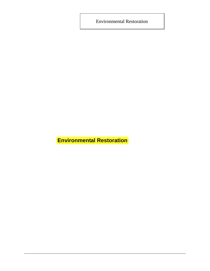<span id="page-15-0"></span>Environmental Restoration

**Environmental Restoration**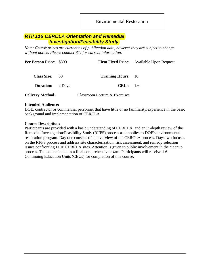Environmental Restoration

## <span id="page-16-0"></span>*RTII 116 CERCLA Orientation and Remedial Investigation/Feasibility Study*

*Note: Course prices are current as of publication date, however they are subject to change without notice. Please contact RTI for current information.* 

| <b>Per Person Price: \$890</b> |        |                               | <b>Firm Fixed Price:</b> Available Upon Request |
|--------------------------------|--------|-------------------------------|-------------------------------------------------|
| Class Size: 50                 |        | <b>Training Hours:</b> 16     |                                                 |
| <b>Duration:</b>               | 2 Days | CEUs: $1.6$                   |                                                 |
| <b>Delivery Method:</b>        |        | Classroom Lecture & Exercises |                                                 |

#### **Intended Audience:**

DOE, contractor or commercial personnel that have little or no familiarity/experience in the basic background and implementation of CERCLA.

#### **Course Description:**

Participants are provided with a basic understanding of CERCLA, and an in-depth review of the Remedial Investigation/Feasibility Study (RI/FS) process as it applies to DOE's environmental restoration program. Day one consists of an overview of the CERCLA process. Days two focuses on the RI/FS process and address site characterization, risk assessment, and remedy selection issues confronting DOE CERCLA sites. Attention is given to public involvement in the cleanup process. The course includes a final comprehensive exam. Participants will receive 1.6 Continuing Education Units (CEUs) for completion of this course.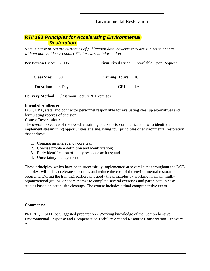## <span id="page-17-0"></span>*RTII 183 Principles for Accelerating Environmental Restoration*

*Note: Course prices are current as of publication date, however they are subject to change without notice. Please contact RTI for current information.* 

| <b>Per Person Price: \$1095</b> |                           | <b>Firm Fixed Price:</b> Available Upon Request |
|---------------------------------|---------------------------|-------------------------------------------------|
| Class Size: 50                  | <b>Training Hours:</b> 16 |                                                 |
| <b>Duration:</b> 3 Days         | CEUs: $1.6$               |                                                 |

**Delivery Method:** Classroom Lecture & Exercises

#### **Intended Audience:**

DOE, EPA, state, and contractor personnel responsible for evaluating cleanup alternatives and formulating records of decision.

#### **Course Description:**

The overall objective of the two-day training course is to communicate how to identify and implement streamlining opportunities at a site, using four principles of environmental restoration that address:

- 1. Creating an interagency core team;
- 2. Concise problem definition and identification;
- 3. Early identification of likely response actions; and
- 4. Uncertainty management.

These principles, which have been successfully implemented at several sites throughout the DOE complex, will help accelerate schedules and reduce the cost of the environmental restoration programs. During the training, participants apply the principles by working in small, multiorganizational groups, or "core teams" to complete several exercises and participate in case studies based on actual site cleanups. The course includes a final comprehensive exam.

#### **Comments:**

PREREQUISITIES: Suggested preparation - Working knowledge of the Comprehensive Environmental Response and Compensation Liability Act and Resource Conservation Recovery Act.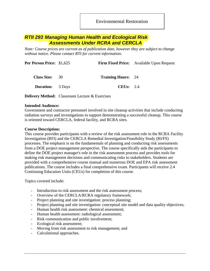Environmental Restoration

## <span id="page-18-0"></span>*RTII 293 Managing Human Health and Ecological Risk Assessments Under RCRA and CERCLA*

*Note: Course prices are current as of publication date, however they are subject to change without notice. Please contact RTI for current information.* 

| <b>Per Person Price: \$1,625</b> |                           | <b>Firm Fixed Price:</b> Available Upon Request |
|----------------------------------|---------------------------|-------------------------------------------------|
| <b>Class Size:</b> 30            | <b>Training Hours:</b> 24 |                                                 |
| <b>Duration:</b> 3 Days          | CEUs: $2.4$               |                                                 |
|                                  |                           |                                                 |

**Delivery Method:** Classroom Lecture & Exercises

#### **Intended Audience:**

Government and contractor personnel involved in site cleanup activities that include conducting radiation surveys and investigations to support demonstrating a successful cleanup. This course is oriented toward CERCLA, federal facility, and RCRA sites.

#### **Course Description:**

This course provides participants with a review of the risk assessment role in the RCRA Facility Investigation (RFI) and the CERCLA Remedial Investigation/Feasibility Study (RI/FS) processes. The emphasis is on the fundamentals of planning and conducting risk assessments from a DOE project management perspective. The course specifically aids the participants to define the DOE project manager's role in the risk assessment process and provides tools for making risk management decisions and communicating risks to stakeholders. Students are provided with a comprehensive course manual and numerous DOE and EPA risk assessment publications. The course includes a final comprehensive exam. Participants will receive 2.4 Continuing Education Units (CEUs) for completion of this course.

Topics covered include:

- Introduction to risk assessment and the risk assessment process;
- Overview of the CERCLA/RCRA regulatory framework;
- Project planning and site investigation: process planning;
- Project planning and site investigation: conceptual site model and data quality objectives;
- Human health risk assessment: chemical assessment;
- Human health assessment: radiological assessment;
- Risk communication and public involvement;
- Ecological risk assessment;
- Moving from risk assessment to risk management; and
- Calculational approaches.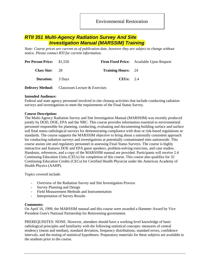## <span id="page-19-0"></span>*RTII 351 Multi-Agency Radiation Survey And Site Investigation Manual (MARSSIM) Training*

*Note: Course prices are current as of publication date, however they are subject to change without notice. Please contact RTI for current information.* 

|                                                                               | <b>Firm Fixed Price:</b> Available Upon Request |
|-------------------------------------------------------------------------------|-------------------------------------------------|
| <b>Training Hours:</b> 24                                                     |                                                 |
| CEUs: $2.4$                                                                   |                                                 |
| <b>Per Person Price:</b> \$1,550<br>Class Size: 28<br><b>Duration:</b> 3 Days |                                                 |

**Delivery Method:** Classroom Lecture & Exercises

#### **Intended Audience:**

Federal and state agency personnel involved in site cleanup activities that include conducting radiation surveys and investigations to meet the requirements of the Final Status Survey.

#### **Course Description:**

The Multi-Agency Radiation Survey and Site Investigation Manual (MARSSIM) was recently produced jointly by DOD, DOE, EPA and the NRC. This course provides information essential to environmental personnel responsible for planning, conducting, evaluating and documenting building surface and surface soil final status radiological surveys for demonstrating compliance with dose or risk-based regulations or standards. The course supports the MARSSIM objective to bring about a nationally consistent approach for conducting radiation surveys and investigations at potentially contaminated sites nationwide. This course assists site and regulatory personnel in assessing Final Status Surveys. The course is highly interactive and features DOE and EPA guest speakers, problem-solving exercises, and case studies. Handouts, references, and a copy of the MARSSIM manual are provided. Participants will receive 2.4 Continuing Education Units (CEUs) for completion of this course. This course also qualifies for 32 Continuing Education Credits (CECs) for Certified Health Physicist under the American Academy of Health Physics (AAHP).

Topics covered include:

- Overview of the Radiation Survey and Site Investigation Process
- Survey Planning and Design
- Field Measurement Methods and Instrumentation
- Interpretation of Survey Results

#### **Comments:**

On April 16, 1999, the MARSSIM manual and this course were awarded a Hammer Award by Vice President Gore's National Partnership for Reinventing government.

PREREQUISITES: NONE. However, attendees should have a working level knowledge of basic radiological principles and familiarity with the following statistical concepts: measures of central tendency (mean and median), standard deviation, frequency distributions, standard errors, confidence intervals, and the testing of statistical hypotheses. Preparatory materials for these subjects are available to the students prior to the course.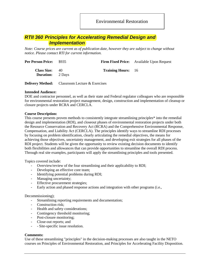Environmental Restoration

## <span id="page-20-0"></span>*RTII 360 Principles for Accelerating Remedial Design and Implementation*

*Note: Course prices are current as of publication date, however they are subject to change without notice. Please contact RTI for current information.* 

| <b>Per Person Price:</b> \$935                |    |                           | <b>Firm Fixed Price:</b> Available Upon Request |
|-----------------------------------------------|----|---------------------------|-------------------------------------------------|
| <b>Class Size:</b><br><b>Duration:</b> 2 Days | 40 | <b>Training Hours:</b> 16 |                                                 |

**Delivery Method:** Classroom Lecture & Exercises

#### **Intended Audience:**

DOE and contractor personnel, as well as their state and Federal regulator colleagues who are responsible for environmental restoration project management, design, construction and implementation of cleanup or closure projects under RCRA and CERCLA.

#### **Course Description:**

This course presents proven methods to consistently integrate streamlining principles\* into the remedial design and implementation (RDI), and closeout phases of environmental restoration projects under both the Resource Conservation and Recovery Act (RCRA) and the Comprehensive Environmental Response, Compensation, and Liability Act (CERCLA). The principles identify ways to streamline RDI processes by focusing on problem identification, clearly articulating the remedial objectives, the means for achieving those objectives, uncertainty management, and developing exit strategies for all phases of the RDI project. Students will be given the opportunity to review existing decision documents to identify both flexibilities and allowances that can provide opportunities to streamline the overall RDI process. Through real site examples, participants will apply the streamlining principles and tools presented.

Topics covered include:

- Overview/review of the four streamlining and their applicability to RDI;
- Developing an effective core team;
- Identifying potential problems during RDI;
- Managing uncertainty;
- Effective procurement strategies;
- Early action and phased response actions and integration with other programs (i.e.,

#### Decommissioning);

- Streamlining reporting requirements and documentation;
- Construction risk;
- Health and safety considerations;
- Contingency threshold monitoring;
- Post-closure monitoring;
- Close-out reports; and
- - Site-specific issue resolution.

#### **Comments:**

Use of these streamlining "principles" in the decision-making processes are also taught in the NETO courses on Principles of Environmental Restoration, and Principles for Accelerating Facility Disposition.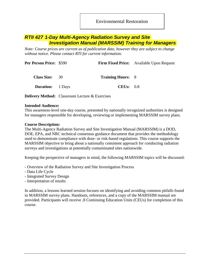Environmental Restoration

## <span id="page-21-0"></span>*RTII 427 1-Day Multi-Agency Radiation Survey and Site Investigation Manual (MARSSIM) Training for Managers*

*Note: Course prices are current as of publication date, however they are subject to change without notice. Please contact RTI for current information.* 

| <b>Per Person Price: \$590</b> |                          | <b>Firm Fixed Price:</b> Available Upon Request |
|--------------------------------|--------------------------|-------------------------------------------------|
| <b>Class Size:</b> 30          | <b>Training Hours: 8</b> |                                                 |
| <b>Duration:</b> 1 Days        | CEUs: 0.8                |                                                 |
|                                |                          |                                                 |

**Delivery Method:** Classroom Lecture & Exercises

#### **Intended Audience:**

This awareness-level one-day course, presented by nationally recognized authorities is designed for managers responsible for developing, reviewing or implementing MARSSIM survey plans.

#### **Course Description:**

The Multi-Agency Radiation Survey and Site Investigation Manual (MARSSIM) is a DOD, DOE, EPA, and NRC technical consensus guidance document that provides the methodology used to demonstrate compliance with dose- or risk-based regulations. This course supports the MARSSIM objective to bring about a nationally consistent approach for conducting radiation surveys and investigations at potentially contaminated sites nationwide.

Keeping the perspective of managers in mind, the following MARSSIM topics will be discussed:

- Overview of the Radiation Survey and Site Investigation Process
- Data Life Cycle
- Integrated Survey Design
- Interpretation of results

In addition, a lessons learned session focuses on identifying and avoiding common pitfalls found in MARSSIM survey plans. Handouts, references, and a copy of the MARSSIM manual are provided. Participants will receive .8 Continuing Education Units (CEUs) for completion of this course.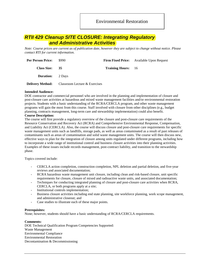## <span id="page-22-0"></span>*RTII 429 Cleanup SITE CLOSURE: Integrating Regulatory and Administrative Activities*

*Note: Course prices are current as of publication date, however they are subject to change without notice. Please contact RTI for current information.* 

| <b>Per Person Price:</b> | \$990                         |                           | <b>Firm Fixed Price:</b> Available Upon Request |
|--------------------------|-------------------------------|---------------------------|-------------------------------------------------|
| <b>Class Size:</b>       | - 35                          | <b>Training Hours:</b> 16 |                                                 |
| <b>Duration:</b> 2 Days  |                               |                           |                                                 |
| <b>Delivery Method:</b>  | Classroom Lecture & Exercises |                           |                                                 |

#### **Intended Audience:**

DOE contractor and commercial personnel who are involved in the planning and implementation of closure and post-closure care activities at hazardous and mixed waste management facilities and/or environmental restoration projects. Students with a basic understanding of the RCRA/CERCLA program, and other waste management programs will gain the most from this course. Staff involved with closure from other disciplines (e.g., budget planning, contracts management, long-term care and stewardship implementation) could also benefit.

#### **Course Description:**

The course will first provide a regulatory overview of the closure and post-closure care requirements of the Resource Conservation and Recovery Act (RCRA) and Comprehensive Environmental Response, Compensation, and Liability Act (CERCLA). Also, the course will discuss closure and post-closure care requirements for specific waste management units such as landfills, storage pads, as well as areas contaminated as a result of past releases of contaminants such as areas of contamination and solid waste management units. The course will then discuss new, effective ways to plan for the integration of closure among units regulated under different programs, including how to incorporate a wide range of institutional control and business closure activities into their planning activities. Examples of these issues include records management, post-contract liability, and transition to the stewardship phase.

Topics covered include:

- CERCLA action completion, construction completion, NPL deletion and partial deletion, and five-year reviews and associated documentation;
- RCRA hazardous waste management unit closure, including clean and risk-based closure, unit specific requirements for closure, closure of mixed and radioactive waste units, and associated documentation;
- Techniques for conducting integrated planning of closure and post-closure care activities when RCRA, CERCLA, or both programs apply at a site;
- Institutional controls implementation;
- Business closure activities including end state planning, site workforce planning, work scope management, and administrative closeout; and
- Case studies to illustrate each of these major points.

#### **Prerequisites:**

None; however, students should have a basic understanding of RCRA/CERCLA requirements.

#### **Comments:**

DOE Technical Qualification Program Competencies Supported: Waste Management Environmental Compliance Environmental Restoration Decontamination & Decommissioning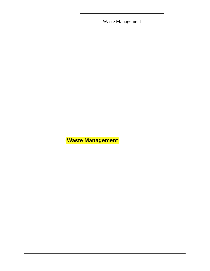<span id="page-23-0"></span>Waste Management

**Waste Management**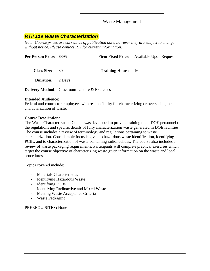## <span id="page-24-0"></span>*RTII 119 Waste Characterization*

*Note: Course prices are current as of publication date, however they are subject to change without notice. Please contact RTI for current information.* 

| Per Person Price: \$895 |                                                       |                           | <b>Firm Fixed Price:</b> Available Upon Request |
|-------------------------|-------------------------------------------------------|---------------------------|-------------------------------------------------|
| Class Size: 30          |                                                       | <b>Training Hours:</b> 16 |                                                 |
| <b>Duration:</b> 2 Days |                                                       |                           |                                                 |
|                         | <b>Delivery Method:</b> Classroom Lecture & Exercises |                           |                                                 |

#### **Intended Audience:**

Federal and contractor employees with responsibility for characterizing or overseeing the characterization of waste.

#### **Course Description:**

The Waste Characterization Course was developed to provide training to all DOE personnel on the regulations and specific details of fully characterization waste generated in DOE facilities. The course includes a review of terminology and regulations pertaining to waste characterization. Considerable focus is given to hazardous waste identification, identifying PCBs, and to characterization of waste containing radionuclides. The course also includes a review of waste packaging requirements. Participants will complete practical exercises which target the course objective of characterizing waste given information on the waste and local procedures.

Topics covered include:

- Materials Characteristics
- Identifying Hazardous Waste
- Identifying PCBs
- Identifying Radioactive and Mixed Waste
- Meeting Waste Acceptance Criteria
- Waste Packaging

PREREQUISITES**:** None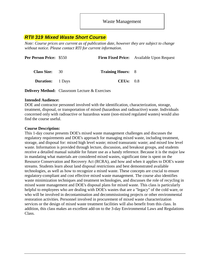## <span id="page-25-0"></span>*RTII 319 Mixed Waste Short Course*

*Note: Course prices are current as of publication date, however they are subject to change without notice. Please contact RTI for current information.* 

| <b>Per Person Price: \$550</b> |                          | <b>Firm Fixed Price:</b> Available Upon Request |
|--------------------------------|--------------------------|-------------------------------------------------|
| <b>Class Size:</b> 30          | <b>Training Hours:</b> 8 |                                                 |
| <b>Duration:</b> 1 Days        | CEUs: 0.8                |                                                 |
|                                |                          |                                                 |

**Delivery Method:** Classroom Lecture & Exercises

#### **Intended Audience:**

DOE and contractor personnel involved with the identification, characterization, storage, treatment, disposal, or transportation of mixed (hazardous and radioactive) waste. Individuals concerned only with radioactive or hazardous waste (non-mixed regulated wastes) would also find the course useful.

#### **Course Description:**

This 1-day course presents DOE's mixed waste management challenges and discusses the regulatory requirements and DOE's approach for managing mixed waste, including treatment, storage, and disposal for: mixed high level waste; mixed transuranic waste; and mixed low level waste. Information is provided through lecture, discussion, and breakout groups, and students receive a detailed manual suitable for future use as a handy reference. Because it is the major law in mandating what materials are considered mixed wastes, significant time is spent on the Resource Conservation and Recovery Act (RCRA), and how and when it applies to DOE's waste streams. Students learn about land disposal restrictions and best demonstrated available technologies, as well as how to recognize a mixed waste. These concepts are crucial to ensure regulatory-compliant and cost effective mixed waste management. The course also identifies waste minimization techniques and treatment technologies, and discusses the role of recycling in mixed waste management and DOE's disposal plans for mixed waste. This class is particularly helpful to employees who are dealing with DOE's wastes that are a "legacy" of the cold ware, or who will be involved in decontamination and decommissioning projects or other environmental restoration activities. Personnel involved in procurement of mixed waste characterization services or the design of mixed waste treatment facilities will also benefit from this class. In addition, this class makes an excellent add-on to the 3-day Environmental Laws and Regulations Class.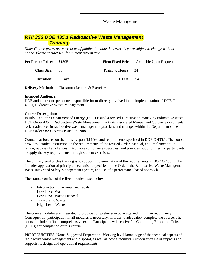## <span id="page-26-0"></span>*RTII 356 DOE 435.1 Radioactive Waste Management Training*

*Note: Course prices are current as of publication date, however they are subject to change without notice. Please contact RTI for current information.* 

| <b>Per Person Price:</b> \$1395 |                           | <b>Firm Fixed Price:</b> Available Upon Request |
|---------------------------------|---------------------------|-------------------------------------------------|
| Class Size: 35                  | <b>Training Hours:</b> 24 |                                                 |
| <b>Duration:</b> 3 Days         | CEUs: $2.4$               |                                                 |

**Delivery Method:** Classroom Lecture & Exercises

#### **Intended Audience:**

DOE and contractor personnel responsible for or directly involved in the implementation of DOE O 435.1, Radioactive Waste Management.

#### **Course Description:**

In July 1999, the Department of Energy (DOE) issued a revised Directive on managing radioactive waste. DOE Order 435.1, Radioactive Waste Management, with its associated Manual and Guidance documents, reflect advances in radioactive waste management practices and changes within the Department since DOE Order 5820.2A was issued in 1988.

Course that focuses on the roles, responsibilities, and requirements specified in DOE O 435.1. The course provides detailed instruction on the requirements of the revised Order, Manual, and Implementation Guide; outlines key changes; introduces compliance strategies; and provides opportunities for participants to apply the key requirements through student exercises.

The primary goal of this training is to support implementation of the requirements in DOE O 435.1. This includes application of principle mechanisms specified in the Order - the Radioactive Waste Management Basis, Integrated Safety Management System, and use of a performance-based approach.

The course consists of the five modules listed below:

- Introduction, Overview, and Goals
- Low-Level Waste
- Low-Level Waste Disposal
- Transuranic Waste
- High-Level Waste

The course modules are integrated to provide comprehensive coverage and minimize redundancy. Consequently, participation in all modules is necessary, in order to adequately complete the course. The course includes a final comprehensive exam. Participants will receive 2.4 Continuing Education Units (CEUs) for completion of this course.

PREREQUISITIES: None. Suggested Preparation- Working level knowledge of the technical aspects of radioactive waste management and disposal, as well as how a facility's Authorization Basis impacts and supports its design and operational requirements.